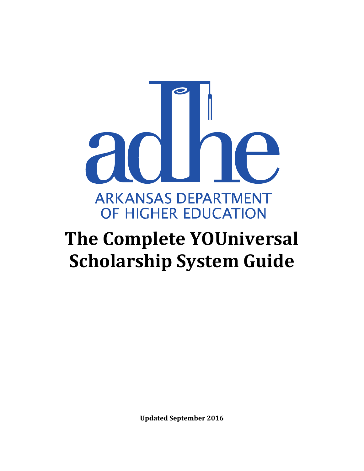

# **The Complete YOUniversal Scholarship System Guide**

**Updated September 2016**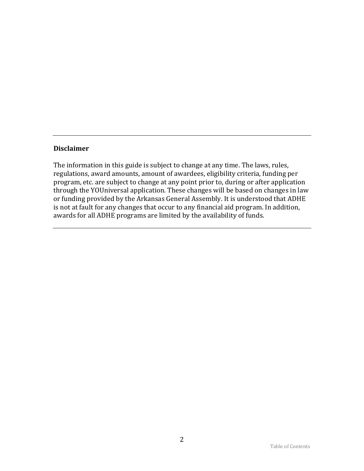#### **Disclaimer**

The information in this guide is subject to change at any time. The laws, rules, regulations, award amounts, amount of awardees, eligibility criteria, funding per program, etc. are subject to change at any point prior to, during or after application through the YOUniversal application. These changes will be based on changes in law or funding provided by the Arkansas General Assembly. It is understood that ADHE is not at fault for any changes that occur to any financial aid program. In addition, awards for all ADHE programs are limited by the availability of funds.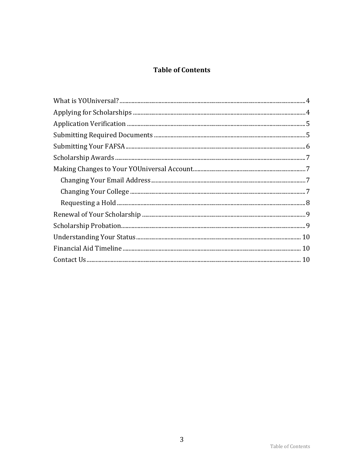# **Table of Contents**

<span id="page-2-0"></span>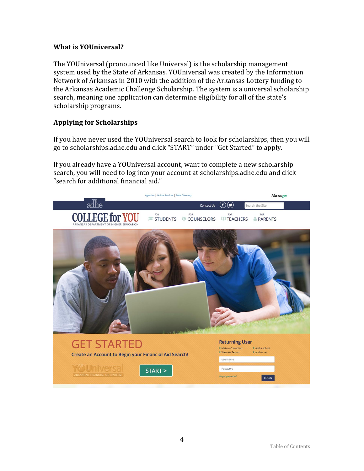## <span id="page-3-0"></span>**What is YOUniversal?**

The YOUniversal (pronounced like Universal) is the scholarship management system used by the State of Arkansas. YOUniversal was created by the Information Network of Arkansas in 2010 with the addition of the Arkansas Lottery funding to the Arkansas Academic Challenge Scholarship. The system is a universal scholarship search, meaning one application can determine eligibility for all of the state's scholarship programs.

# <span id="page-3-1"></span>**Applying for Scholarships**

If you have never used the YOUniversal search to look for scholarships, then you will go to scholarships.adhe.edu and click "START" under "Get Started" to apply.

If you already have a YOUniversal account, want to complete a new scholarship search, you will need to log into your account at scholarships.adhe.edu and click "search for additional financial aid."

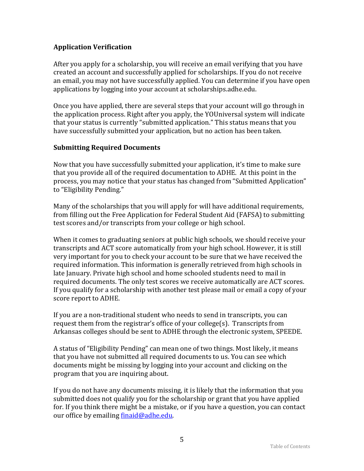# <span id="page-4-0"></span>**Application Verification**

After you apply for a scholarship, you will receive an email verifying that you have created an account and successfully applied for scholarships. If you do not receive an email, you may not have successfully applied. You can determine if you have open applications by logging into your account at scholarships.adhe.edu.

Once you have applied, there are several steps that your account will go through in the application process. Right after you apply, the YOUniversal system will indicate that your status is currently "submitted application." This status means that you have successfully submitted your application, but no action has been taken.

## <span id="page-4-1"></span>**Submitting Required Documents**

Now that you have successfully submitted your application, it's time to make sure that you provide all of the required documentation to ADHE. At this point in the process, you may notice that your status has changed from "Submitted Application" to "Eligibility Pending."

Many of the scholarships that you will apply for will have additional requirements, from filling out the Free Application for Federal Student Aid (FAFSA) to submitting test scores and/or transcripts from your college or high school.

When it comes to graduating seniors at public high schools, we should receive your transcripts and ACT score automatically from your high school. However, it is still very important for you to check your account to be sure that we have received the required information. This information is generally retrieved from high schools in late January. Private high school and home schooled students need to mail in required documents. The only test scores we receive automatically are ACT scores. If you qualify for a scholarship with another test please mail or email a copy of your score report to ADHE.

If you are a non-traditional student who needs to send in transcripts, you can request them from the registrar's office of your college(s). Transcripts from Arkansas colleges should be sent to ADHE through the electronic system, SPEEDE.

A status of "Eligibility Pending" can mean one of two things. Most likely, it means that you have not submitted all required documents to us. You can see which documents might be missing by logging into your account and clicking on the program that you are inquiring about.

If you do not have any documents missing, it is likely that the information that you submitted does not qualify you for the scholarship or grant that you have applied for. If you think there might be a mistake, or if you have a question, you can contact our office by emailing [finaid@adhe.edu.](mailto:finaid@adhe.edu)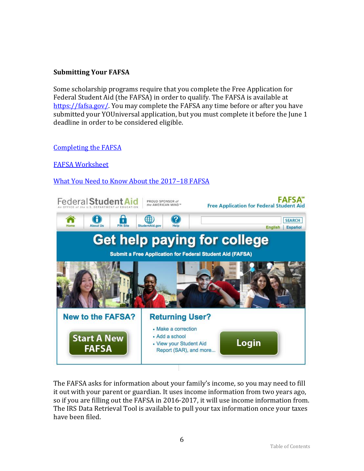# <span id="page-5-0"></span>**Submitting Your FAFSA**

Some scholarship programs require that you complete the Free Application for Federal Student Aid (the FAFSA) in order to qualify. The FAFSA is available at [https://fafsa.gov/.](https://fafsa.gov/) You may complete the FAFSA any time before or after you have submitted your YOUniversal application, but you must complete it before the June 1 deadline in order to be considered eligible.

## [Completing the FAFSA](https://studentaid.ed.gov/sa/sites/default/files/2016-17-completing-fafsa.pdf)

[FAFSA Worksheet](https://studentaid.ed.gov/sa/sites/default/files/2016-17-fafsa-worksheet.pdf)

# [What You Need to Know About the 2017](https://studentaid.ed.gov/sa/sites/default/files/2017-18-fafsa-updates-students-parents.pdf)–18 FAFSA



The FAFSA asks for information about your family's income, so you may need to fill it out with your parent or guardian. It uses income information from two years ago, so if you are filling out the FAFSA in 2016-2017, it will use income information from. The IRS Data Retrieval Tool is available to pull your tax information once your taxes have been filed.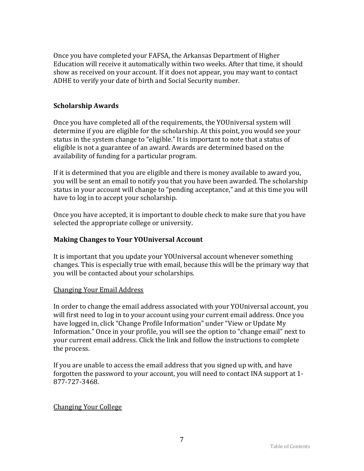Once you have completed your FAFSA, the Arkansas Department of Higher Education will receive it automatically within two weeks. After that time, it should show as received on your account. If it does not appear, you may want to contact ADHE to verify your date of birth and Social Security number.

## <span id="page-6-0"></span>**Scholarship Awards**

Once you have completed all of the requirements, the YOUniversal system will determine if you are eligible for the scholarship. At this point, you would see your status in the system change to "eligible." It is important to note that a status of eligible is not a guarantee of an award. Awards are determined based on the availability of funding for a particular program.

If it is determined that you are eligible and there is money available to award you, you will be sent an email to notify you that you have been awarded. The scholarship status in your account will change to "pending acceptance," and at this time you will have to log in to accept your scholarship.

Once you have accepted, it is important to double check to make sure that you have selected the appropriate college or university.

#### <span id="page-6-1"></span>**Making Changes to Your YOUniversal Account**

It is important that you update your YOUniversal account whenever something changes. This is especially true with email, because this will be the primary way that you will be contacted about your scholarships.

#### <span id="page-6-2"></span>Changing Your Email Address

In order to change the email address associated with your YOUniversal account, you will first need to log in to your account using your current email address. Once you have logged in, click "Change Profile Information" under "View or Update My Information." Once in your profile, you will see the option to "change email" next to your current email address. Click the link and follow the instructions to complete the process.

If you are unable to access the email address that you signed up with, and have forgotten the password to your account, you will need to contact INA support at 1- 877-727-3468.

#### <span id="page-6-3"></span>Changing Your College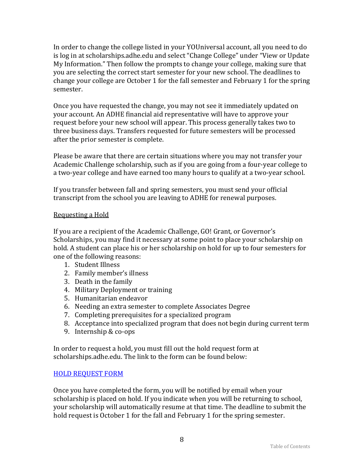In order to change the college listed in your YOUniversal account, all you need to do is log in at scholarships.adhe.edu and select "Change College" under "View or Update My Information." Then follow the prompts to change your college, making sure that you are selecting the correct start semester for your new school. The deadlines to change your college are October 1 for the fall semester and February 1 for the spring semester.

Once you have requested the change, you may not see it immediately updated on your account. An ADHE financial aid representative will have to approve your request before your new school will appear. This process generally takes two to three business days. Transfers requested for future semesters will be processed after the prior semester is complete.

Please be aware that there are certain situations where you may not transfer your Academic Challenge scholarship, such as if you are going from a four-year college to a two-year college and have earned too many hours to qualify at a two-year school.

If you transfer between fall and spring semesters, you must send your official transcript from the school you are leaving to ADHE for renewal purposes.

## <span id="page-7-0"></span>Requesting a Hold

If you are a recipient of the Academic Challenge, GO! Grant, or Governor's Scholarships, you may find it necessary at some point to place your scholarship on hold. A student can place his or her scholarship on hold for up to four semesters for one of the following reasons:

- 1. Student Illness
- 2. Family member's illness
- 3. Death in the family
- 4. Military Deployment or training
- 5. Humanitarian endeavor
- 6. Needing an extra semester to complete Associates Degree
- 7. Completing prerequisites for a specialized program
- 8. Acceptance into specialized program that does not begin during current term
- 9. Internship & co-ops

In order to request a hold, you must fill out the hold request form at scholarships.adhe.edu. The link to the form can be found below:

# [HOLD REQUEST FORM](http://scholarships.adhe.edu/how-to-use-universal/request-a-hold/)

Once you have completed the form, you will be notified by email when your scholarship is placed on hold. If you indicate when you will be returning to school, your scholarship will automatically resume at that time. The deadline to submit the hold request is October 1 for the fall and February 1 for the spring semester.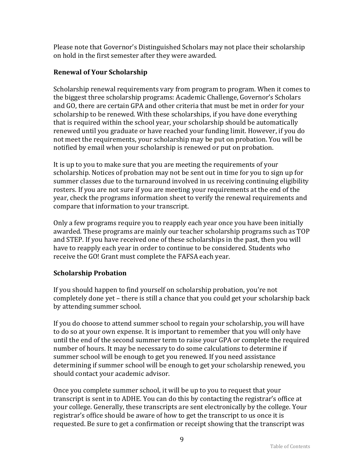Please note that Governor's Distinguished Scholars may not place their scholarship on hold in the first semester after they were awarded.

# <span id="page-8-0"></span>**Renewal of Your Scholarship**

Scholarship renewal requirements vary from program to program. When it comes to the biggest three scholarship programs: Academic Challenge, Governor's Scholars and GO, there are certain GPA and other criteria that must be met in order for your scholarship to be renewed. With these scholarships, if you have done everything that is required within the school year, your scholarship should be automatically renewed until you graduate or have reached your funding limit. However, if you do not meet the requirements, your scholarship may be put on probation. You will be notified by email when your scholarship is renewed or put on probation.

It is up to you to make sure that you are meeting the requirements of your scholarship. Notices of probation may not be sent out in time for you to sign up for summer classes due to the turnaround involved in us receiving continuing eligibility rosters. If you are not sure if you are meeting your requirements at the end of the year, check the programs information sheet to verify the renewal requirements and compare that information to your transcript.

Only a few programs require you to reapply each year once you have been initially awarded. These programs are mainly our teacher scholarship programs such as TOP and STEP. If you have received one of these scholarships in the past, then you will have to reapply each year in order to continue to be considered. Students who receive the GO! Grant must complete the FAFSA each year.

# <span id="page-8-1"></span>**Scholarship Probation**

If you should happen to find yourself on scholarship probation, you're not completely done yet – there is still a chance that you could get your scholarship back by attending summer school.

If you do choose to attend summer school to regain your scholarship, you will have to do so at your own expense. It is important to remember that you will only have until the end of the second summer term to raise your GPA or complete the required number of hours. It may be necessary to do some calculations to determine if summer school will be enough to get you renewed. If you need assistance determining if summer school will be enough to get your scholarship renewed, you should contact your academic advisor.

Once you complete summer school, it will be up to you to request that your transcript is sent in to ADHE. You can do this by contacting the registrar's office at your college. Generally, these transcripts are sent electronically by the college. Your registrar's office should be aware of how to get the transcript to us once it is requested. Be sure to get a confirmation or receipt showing that the transcript was